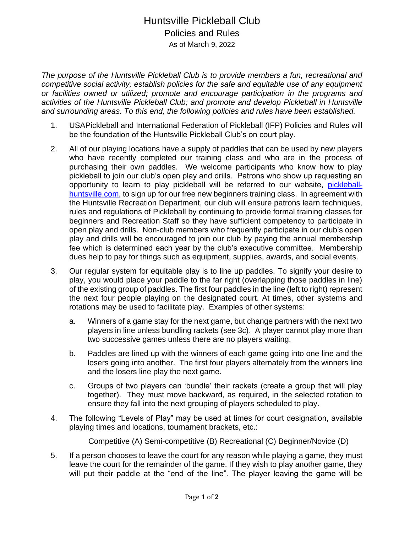## Huntsville Pickleball Club Policies and Rules As of March 9, 2022

*The purpose of the Huntsville Pickleball Club is to provide members a fun, recreational and competitive social activity; establish policies for the safe and equitable use of any equipment or facilities owned or utilized; promote and encourage participation in the programs and activities of the Huntsville Pickleball Club; and promote and develop Pickleball in Huntsville and surrounding areas. To this end, the following policies and rules have been established.* 

- 1. USAPickleball and International Federation of Pickleball (IFP) Policies and Rules will be the foundation of the Huntsville Pickleball Club's on court play.
- 2. All of our playing locations have a supply of paddles that can be used by new players who have recently completed our training class and who are in the process of purchasing their own paddles. We welcome participants who know how to play pickleball to join our club's open play and drills. Patrons who show up requesting an opportunity to learn to play pickleball will be referred to our website, [pickleball](https://www.pickleball-huntsville.com/)[huntsville.com,](https://www.pickleball-huntsville.com/) to sign up for our free new beginners training class. In agreement with the Huntsville Recreation Department, our club will ensure patrons learn techniques, rules and regulations of Pickleball by continuing to provide formal training classes for beginners and Recreation Staff so they have sufficient competency to participate in open play and drills. Non-club members who frequently participate in our club's open play and drills will be encouraged to join our club by paying the annual membership fee which is determined each year by the club's executive committee. Membership dues help to pay for things such as equipment, supplies, awards, and social events.
- 3. Our regular system for equitable play is to line up paddles. To signify your desire to play, you would place your paddle to the far right (overlapping those paddles in line) of the existing group of paddles. The first four paddles in the line (left to right) represent the next four people playing on the designated court. At times, other systems and rotations may be used to facilitate play. Examples of other systems:
	- a. Winners of a game stay for the next game, but change partners with the next two players in line unless bundling rackets (see 3c). A player cannot play more than two successive games unless there are no players waiting.
	- b. Paddles are lined up with the winners of each game going into one line and the losers going into another. The first four players alternately from the winners line and the losers line play the next game.
	- c. Groups of two players can 'bundle' their rackets (create a group that will play together). They must move backward, as required, in the selected rotation to ensure they fall into the next grouping of players scheduled to play.
- 4. The following "Levels of Play" may be used at times for court designation, available playing times and locations, tournament brackets, etc.:

Competitive (A) Semi-competitive (B) Recreational (C) Beginner/Novice (D)

5. If a person chooses to leave the court for any reason while playing a game, they must leave the court for the remainder of the game. If they wish to play another game, they will put their paddle at the "end of the line". The player leaving the game will be